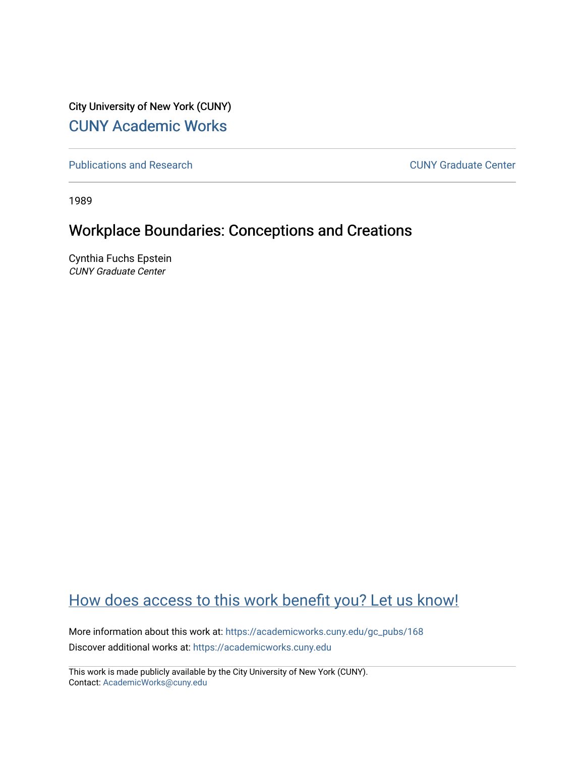City University of New York (CUNY) [CUNY Academic Works](https://academicworks.cuny.edu/) 

[Publications and Research](https://academicworks.cuny.edu/gc_pubs) [CUNY Graduate Center](https://academicworks.cuny.edu/gc) 

1989

# Workplace Boundaries: Conceptions and Creations

Cynthia Fuchs Epstein CUNY Graduate Center

# [How does access to this work benefit you? Let us know!](http://ols.cuny.edu/academicworks/?ref=https://academicworks.cuny.edu/gc_pubs/168)

More information about this work at: [https://academicworks.cuny.edu/gc\\_pubs/168](https://academicworks.cuny.edu/gc_pubs/168) Discover additional works at: [https://academicworks.cuny.edu](https://academicworks.cuny.edu/?)

This work is made publicly available by the City University of New York (CUNY). Contact: [AcademicWorks@cuny.edu](mailto:AcademicWorks@cuny.edu)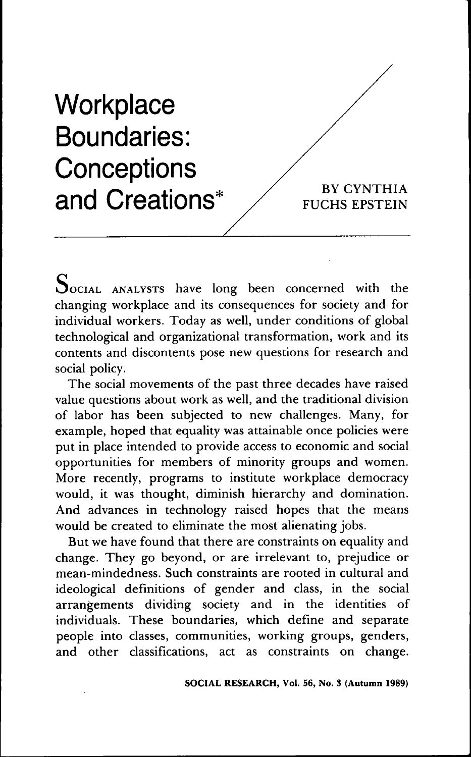

SOCIAL ANALYSTS have long been concerned with the changing workplace and its consequences for society and for individual workers. Today as well, under conditions of global technological and organizational transformation, work and its contents and discontents pose new questions for research and social policy.

The social movements of the past three decades have raised value questions about work as well, and the traditional division of labor has been subjected to new challenges. Many, for example, hoped that equality was attainable once policies were put in place intended to provide access to economic and social opportunities for members of minority groups and women. More recently, programs to institute workplace democracy would, it was thought, diminish hierarchy and domination. And advances in technology raised hopes that the means would be created to eliminate the most alienating jobs.

But we have found that there are constraints on equality and change. They go beyond, or are irrelevant to, prejudice or mean-mindedness. Such constraints are rooted in cultural and ideological definitions of gender and class, in the social arrangements dividing society and in the identities of individuals. These boundaries, which define and separate people into classes, communities, working groups, genders, and other classifications, act as constraints on change.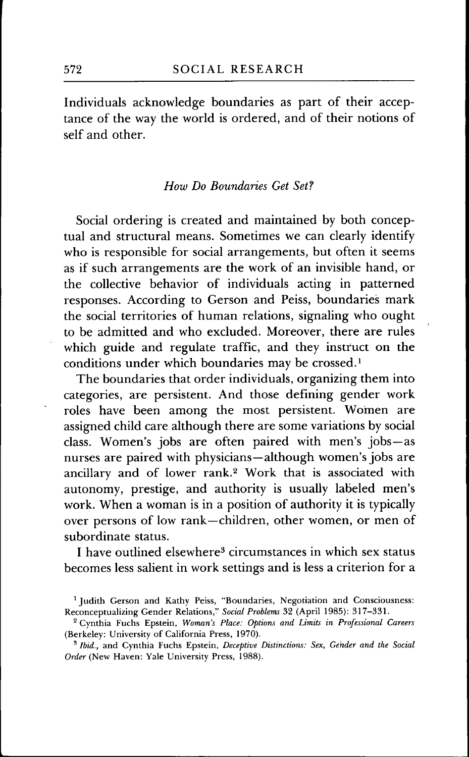Individuals acknowledge boundaries as part of their acceptance of the way the world is ordered, and of their notions of self and other.

## *How Do Boundaries Get Set?*

Social ordering is created and maintained by both conceptual and structural means. Sometimes we can clearly identify who is responsible for social arrangements, but often it seems as if such arrangements are the work of an invisible hand, or the collective behavior of individuals acting in patterned responses. According to Gerson and Peiss, boundaries mark the social territories of human relations, signaling who ought to be admitted and who excluded. Moreover, there are rules which guide and regulate traffic, and they instruct on the conditions under which boundaries may be crossed.<sup>1</sup>

The boundaries that order individuals, organizing them into categories, are persistent. And those defining gender work roles have been among the most persistent. Women are assigned child care although there are some variations by social class. Women's jobs are often paired with men's jobs—as nurses are paired with physicians—although women's jobs are ancillary and of lower rank.<sup>2</sup> Work that is associated with autonomy, prestige, and authority is usually labeled men's work. When a woman is in a position of authority it is typically over persons of low rank—children, other women, or men of subordinate status.

I have outlined elsewhere<sup>3</sup> circumstances in which sex status becomes less salient in work settings and is less a criterion for a

<sup>&</sup>lt;sup>1</sup> Judith Gerson and Kathy Peiss, "Boundaries, Negotiation and Consciousness: Reconceptualizing Gender Relations," *Social Problems* 32 (April 1985): 317-331,

<sup>^</sup> Gynthia Fuchs Epstein, *Woman's Place: Options and Limits in Professional Careers* (Berkeley: University of Galifornia Press, 1970),

<sup>&#</sup>x27; *Ibid.,* and Gynthia Fuchs Epstein, *Deceptive Distinctions: Sex, Gender and the Social Order* (New Haven: Yale University Press, 1988),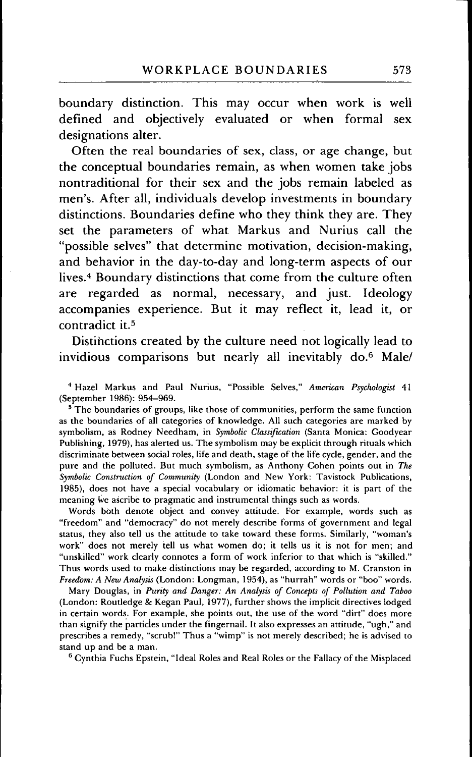boundary distinction. This may occur when work is well defined and objectively evaluated or when formal sex designations alter.

Often the real boundaries of sex, class, or age change, but the conceptual boundaries remain, as when women take jobs nontraditional for their sex and the jobs remain labeled as men's. After all, individuals develop investments in boundary distinctions. Boundaries define who they think they are. They set the parameters of what Markus and Nurius call the "possible selves" that determine motivation, decision-making, and behavior in the day-to-day and long-term aspects of our lives.<sup>4</sup> Boundary distinctions that come from the culture often are regarded as normal, necessary, and just. Ideology accompanies experience. But it may refiect it, lead it, or contradict it.<sup>5</sup>

Distihctions created by the culture need not logically lead to invidious comparisons but nearly all inevitably do.<sup>6</sup> Male/

'' Hazel Markus and Paul Nurius, "Possihle Selves," *American Psychologist* 41 (September 1986): 954-969.

<sup>5</sup>The boundaries of groups, like those of communities, perform the same function as the boundaries of all categories of knowledge. All such categories are marked by symbolisni, as Rodney Needham, in *Symbolic Classification* (Santa Monica: Goodyear Publishing, 1979), has alerted us. The symbolism may be explicit through rituals which discriminate between social roles, life and death, stage of the life cycle, gender, and the pure and the polluted. But much symbolism, as Anthony Gohen points out in *The Symbolic Comtruction of Community* (London and New York: Tavistock Publications, 1985), does not have a special vocabulary or idiomatic behavior: it is part of the meaning we ascribe to pragmatic and instrumental things such as words.

Words both denote object and convey attitude. For example, words such as "freedom" and "democracy" do not merely describe forms of government and legal status, they also tell us the attitude to take toward these forms. Similarly, "woman's work" does not merely tell us what women do; it tells us it is not for men; and "unskilled" work clearly connotes a form of work inferior to that which is "skilled," Thus words used to make distinctions may be regarded, according to M, Granston in *Freedom: A New Analysis* (London: Longman, 1954), as "hurrah" words or "boo" words,

Mary Douglas, in *Purity and Danger: An Analysis of Concepts of Pollution and Taboo* (London: Routledge *Sc* Kegan Paul, 1977), further shows the implicit directives lodged in certain words, Eor example, she points out, the use of the word "dirt" does more than signify the particles under the fingernail. It also expresses an attitude, "ugh," and prescribes a remedy, "scrub!" Thus a "wimp" is not merely described; he is advised to stand up and be a man,

 $6$  Cynthia Fuchs Epstein, "Ideal Roles and Real Roles or the Fallacy of the Misplaced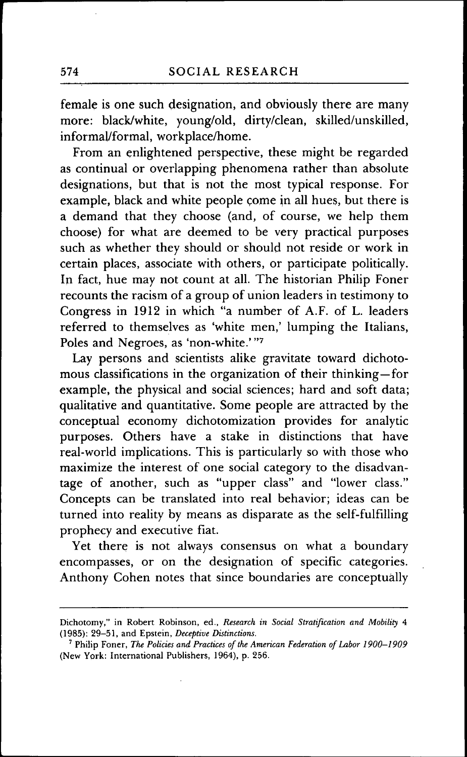female is one such designation, and obviously there are many more: black/white, young/old, dirty/clean, skilled/unskilled, informal/formal, workplace/home.

From an enlightened perspective, these might be regarded as continual or overlapping phenomena rather than absolute designations, but that is not the most typical response. For example, black and white people come in all hues, but there is a demand that they choose (and, of course, we help them choose) for what are deemed to be very practical purposes such as whether they should or should not reside or work in certain places, associate with others, or participate politically. In fact, hue may not count at all. The historian Philip Foner recounts the racism of a group of union leaders in testimony to Gongress in 1912 in which "a number of A.F. of L. leaders referred to themselves as 'white men,' lumping the Italians, Poles and Negroes, as 'non-white.'"7

Lay persons and scientists alike gravitate toward dichotomous classifications in the organization of their thinking—for example, the physical and social sciences; hard and soft data; qualitative and quantitative. Some people are attracted by the conceptual economy dichotomization provides for analytic purposes. Others have a stake in distinctions that have real-world implications. This is particularly so with those who maximize the interest of one social category to the disadvantage of another, such as "upper class" and "lower class." Goncepts can be translated into real behavior; ideas can be turned into reality by means as disparate as the self-fulfilling prophecy and executive fiat.

Yet there is not always consensus on what a boundary encompasses, or on the designation of specific categories. Anthony Gohen notes that since boundaries are conceptually

Dichotomy," in Robert Robinson, ed.. *Research in Social Stratification and Mobility* 4 (1985); 29-51, and Epstein, *Deceptive Distinctions.*

<sup>&#</sup>x27; Philip Foner, *The Policies and Practices of the American Federation of Labor 1900-1909* (New York: International Publishers, 1964), p. 256.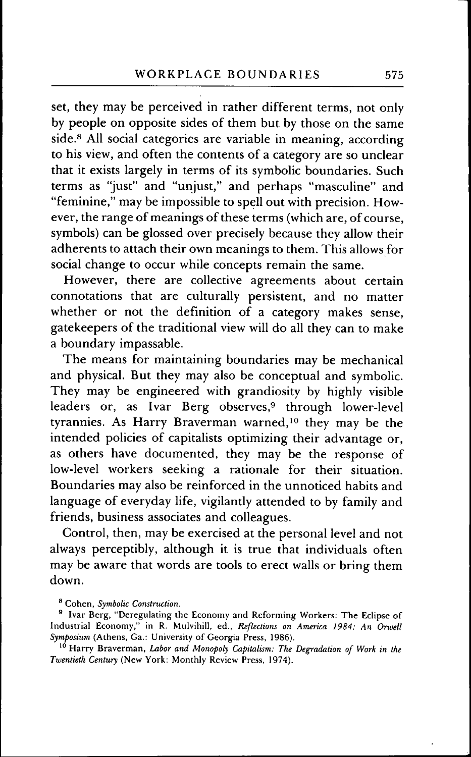set, they may be perceived in rather different terms, not only by people on opposite sides of them but by those on the same side.<sup>8</sup> All social categories are variable in meaning, according to his view, and often the contents of a category are so unclear that it exists largely in terms of its symbolic boundaries. Such terms as "just" and "unjust," and perhaps "masculine" and "feminine," may be impossible to spell out with precision. However, the range of meanings of these terms (which are, of course, symbols) can be glossed over precisely because they allow their adherents to attach their own meanings to them. This allows for social change to occur while concepts remain the same.

However, there are collective agreements about certain connotations that are culturally persistent, and no matter whether or not the definition of a category makes sense, gatekeepers of the traditional view will do all they can to make a boundary impassable.

The means for maintaining boundaries may be mechanical and physical. But they may also be conceptual and symbolic. They may be engineered with grandiosity by highly visible leaders or, as Ivar Berg observes,<sup>9</sup> through lower-level tyrannies. As Harry Braverman warned,<sup>10</sup> they may be the intended policies of capitalists optimizing their advantage or, as others have documented, they may be the response of low-level workers seeking a rationale for their situation. Boundaries may also be reinforced in the unnoticed habits and language of everyday life, vigilantly attended to by family and friends, business associates and colleagues.

Gontrol, then, may be exercised at the personal level and not always perceptibly, although it is true that individuals often may be aware that words are tools to erect walls or bring them down.

^ Cohen, *Symbolic Construction.*

<sup>10</sup> Harry Braverman, Labor and Monopoly Capitalism: The Degradation of Work in the *Twentieth Century* (New York: Monthly Review Press, 1974).

<sup>&</sup>lt;sup>9</sup> Ivar Berg, "Deregulating the Economy and Reforming Workers: The Eclipse of Industrial Economy," in R. Mulvihill, ed.. *Reflections on America 1984: An Orwell Symposium* (Athens, Ga.: University of Georgia Press, 1986).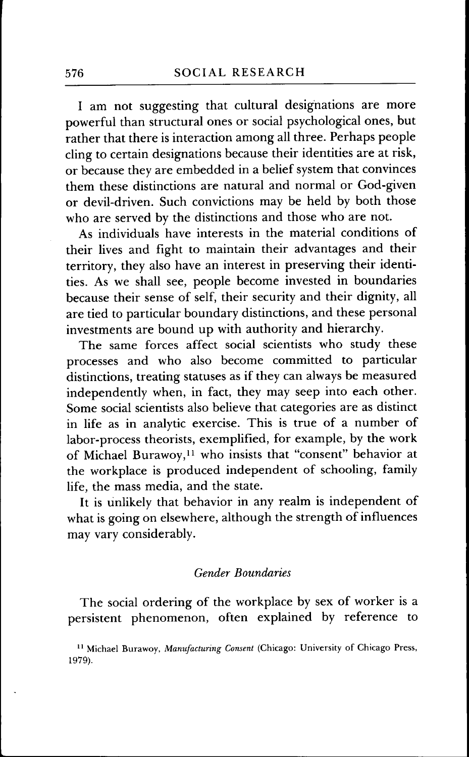I am not suggesting that cultural designations are more powerful than structural ones or social psychological ones, but rather that there is interaction among all three. Perhaps people cling to certain designations because their identities are at risk, or because they are embedded in a belief system that convinces them these distinctions are natural and normal or God-given or devil-driven. Such convictions may be held by both those who are served by the distinctions and those who are not.

As individuals have interests in the material conditions of their lives and fight to maintain their advantages and their territory, they also have an interest in preserving their identities. As we shall see, people become invested in boundaries because their sense of self, their security and their dignity, all are tied to particular boundary distinctions, and these personal investments are bound up with authority and hierarchy.

The same forces affect social scientists who study these processes and who also become committed to particular distinctions, treating statuses as if they can always be measured independently when, in fact, they may seep into each other. Some social scientists also believe that categories are as distinct in life as in analytic exercise. This is true of a number of labor-process theorists, exemplified, for example, by the work of Michael Burawoy,<sup>11</sup> who insists that "consent" behavior at the workplace is produced independent of schooling, family life, the mass media, and the state.

It is unlikely that behavior in any realm is independent of what is going on elsewhere, although the strength of influences may vary considerably.

## *Gender Boundaries*

The social ordering of the workplace by sex of worker is a persistent phenomenon, often explained by reference to

<sup>&</sup>lt;sup>11</sup> Michael Burawoy, Manufacturing Consent (Chicago: University of Chicago Press, 1979).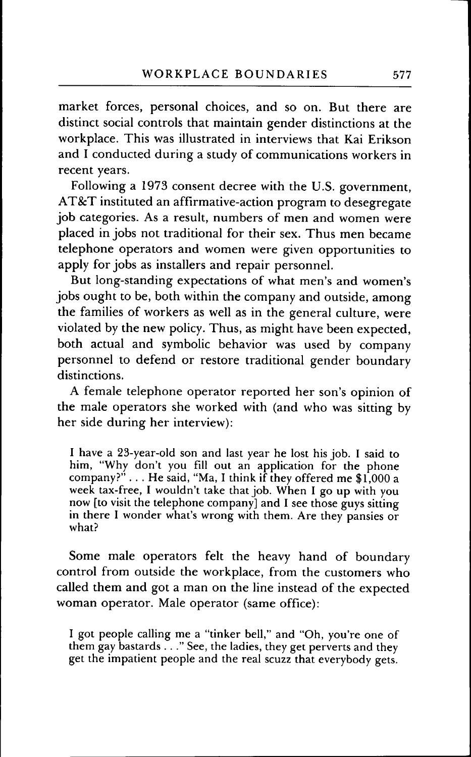market forces, personal choices, and so on. But there are distinct social controls that maintain gender distinctions at the workplace. This was illustrated in interviews that Kai Erikson and I conducted during a study of communications workers in recent years.

Following a 1973 consent decree with the U.S. government, AT&T instituted an affirmative-action program to desegregate job categories. As a result, numbers of men and women were placed in jobs not traditional for their sex. Thus men became telephone operators and women were given opportunities to apply for jobs as installers and repair personnel.

But long-standing expectations of what men's and women's jobs ought to be, both within the company and outside, among the families of workers as well as in the general culture, were violated by the new policy. Thus, as might have been expected, both actual and symbolic behavior was used by company personnel to defend or restore traditional gender boundary distinctions.

A female telephone operator reported her son's opinion of the male operators she worked with (and who was sitting by her side during her interview):

I have a 23-year-old son and last year he lost his job. I said to him, "Why don't you fill out an application for the phone company?"  $\ldots$  He said, "Ma, I think if they offered me \$1,000 a week tax-free, I wouldn't take that job. When I go up with you now [to visit the telephone company] and I see those guys sitting in there I wonder what's wrong with them. Are they pansies or what?

Some male operators felt the heavy hand of boundary control from outside the workplace, from the customers who called them and got a man on the line instead of the expected woman operator. Male operator (same office):

I got people calling me a "tinker bell," and "Oh, you're one of them gay bastards . . . " See, the ladies, they get perverts and they get the impatient people and the real scuzz that everybody gets.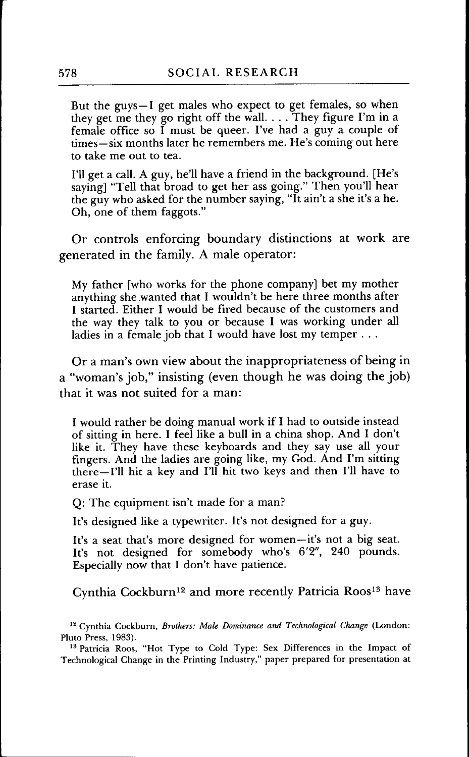But the guys—I get males who expect to get females, so when they get me they go right off the wall. . . . They figure I'm in a female office so I must be queer. I've had a guy a couple of times—six months later he remembers me. He's coming out here to take me out to tea.

I'll get a call. A guy, he'll have a friend in the background. [He's saying] "Tell that broad to get her ass going." Then you'll hear the guy who asked for the number saying, "It ain't a she it's a he. Oh, one of them faggots."

Or controls enforcing boundary distinctions at work are generated in the family. A male operator:

My father [who works for the phone company] bet my mother anything she wanted that I wouldn't be here three months after I started. Either I would be fired because of the customers and the way they talk to you or because I was working under all ladies in a female job that I would have lost my temper . . .

Or a man's own view about the inappropriateness of being in a "woman's job," insisting (even though he was doing the job) that it was not suited for a man:

I would rather be doing manual work if I had to outside instead of sitting in here. I feel like a bull in a china shop. And I don't like it. They have these keyboards and they say use all your fingers. And the ladies are going like, my God. And I'm sitting there—I'll hit a key and I'll hit two keys and then I'll have to erase it.

Q: The equipment isn't made for a man?

It's designed like a typewriter. It's not designed for a guy.

It's a seat that's more designed for women—it's not a big seat. It's not designed for somebody who's 6'2", 240 pounds. Especially now that I don't have patience.

Cynthia Cockburn<sup>12</sup> and more recently Patricia Roos<sup>13</sup> have

<sup>&</sup>lt;sup>12</sup> Cynthia Cockburn, *Brothers: Male Dominance and Technological Change* (London: Pluto Press, 1983).

<sup>&</sup>lt;sup>13</sup> Patricia Roos, "Hot Type to Cold Type: Sex Differences in the Impact of Technological Change in the Printing Industry," paper prepared for presentation at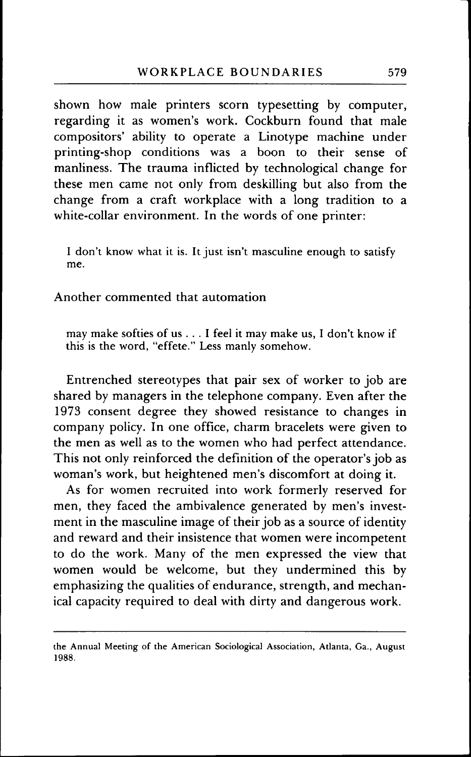shown how male printers scorn typesetting by computer, regarding it as women's work. Cockburn found that male compositors' ability to operate a Linotype machine under printing-shop conditions was a boon to their sense of manliness. The trauma infiicted by technological change for these men came not only from deskilling but also from the change from a craft workplace with a long tradition to a white-collar environment. In the words of one printer:

I don't know what it is. It just isn't masculine enough to satisfy me.

Another commented that automation

may make softies of us ... I feel it may make us, I don't know if this is the word, "effete." Less manly somehow.

Entrenched stereotypes that pair sex of worker to job are shared by managers in the telephone company. Even after the 1973 consent degree they showed resistance to changes in company policy. In one office, charm bracelets were given to the men as well as to the women who had perfect attendance. This not only reinforced the definition of the operator's job as woman's work, but heightened men's discomfort at doing it.

As for women recruited into work formerly reserved for men, they faced the ambivalence generated by men's investment in the masculine image of their job as a source of identity and reward and their insistence that women were incompetent to do the work. Many of the men expressed the view that women would be welcome, but they undermined this by emphasizing the qualities of endurance, strength, and mechanical capacity required to deal with dirty and dangerous work.

the Annual Meeting of the American Sociological Association, Atlanta, Ga., August 1988.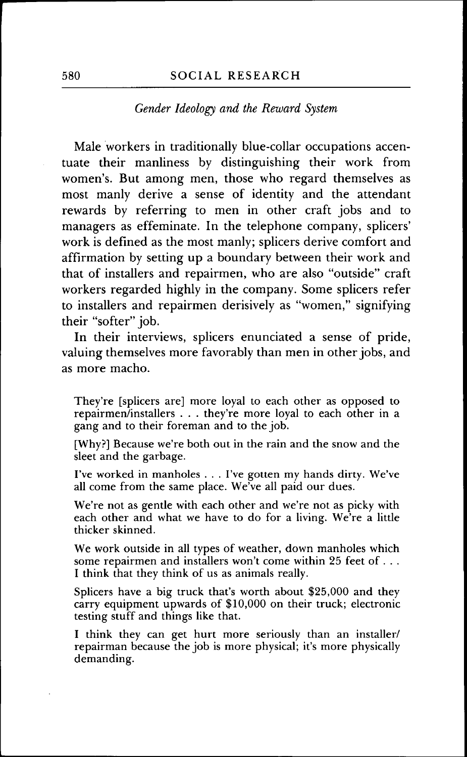#### 580 SOCIAL RESEARCH

#### *Gender Ideology and the Reward System*

Male workers in traditionally blue-collar occupations accentuate their manliness by distinguishing their work from women's. But among men, those who regard themselves as most manly derive a sense of identity and the attendant rewards by referring to men in other craft jobs and to managers as effeminate. In the telephone company, splicers' work is defined as the most manly; splicers derive comfort and affirmation by setting up a boundary between their work and that of installers and repairmen, who are also "outside" craft workers regarded highly in the company. Some splicers refer to installers and repairmen derisively as "women," signifying their "softer" job.

In their interviews, splicers enunciated a sense of pride, valuing themselves more favorably than men in other jobs, and as more macho.

They're [splicers are] more loyal to each other as opposed to repairmen/installers . . . they're more loyal to each other in a gang and to their foreman and to the job.

[Why?] Because we're both out in the rain and the snow and the sleet and the garbage.

I've worked in manholes . . . I've gotten my hands dirty. We've all come from the same place. We've all paid our dues.

We're not as gentle with each other and we're not as picky with each other and what we have to do for a living. We're a little thicker skinned.

We work outside in all types of weather, down manholes which some repairmen and installers won't come within 25 feet of .. . I think that they think of us as animals really.

Splicers have a big truck that's worth about \$25,000 and they carry equipment upwards of \$10,000 on their truck; electronic testing stuff and things like that.

I think they can get hurt more seriously than an installer/ repairman because the job is more physical; it's more physically demanding.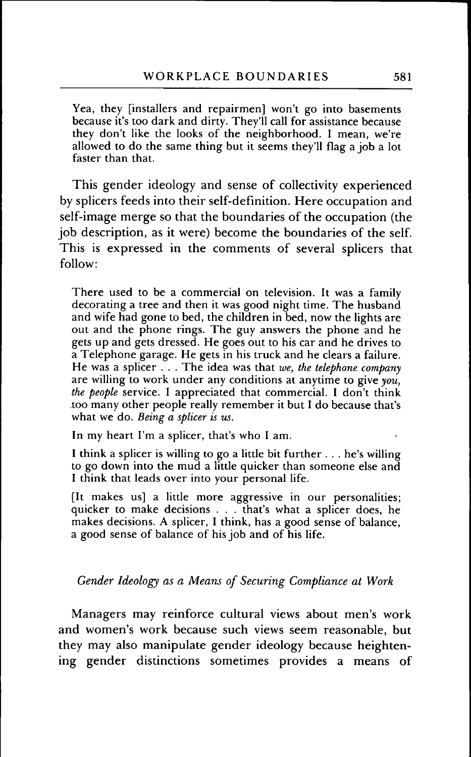Yea, they [installers and repairmen] won't go into basements because it's too dark and dirty. They'll call for assistance because they don't like the looks of the neighborhood. I mean, we're allowed to do the same thing but it seems they'll flag a job a lot faster than that.

This gender ideology and sense of collectivity experienced by splicers feeds into their self-definition. Here occupation and self-image merge so that the boundaries of the occupation (the job description, as it were) become the boundaries of the self. This is expressed in the comments of several splicers that follow:

There used to be a commercial on television. It was a family decorating a tree and then it was good night time. The husband and wife had gone to bed, the children in bed, now the lights are out and the phone rings. The guy answers the phone and he gets up and gets dressed. He goes out to his car and he drives to a Telephone garage. He gets in his truck and he clears a failure. He was a splicer . . . The idea was that *we, the telephone company* are willing to work under any conditions at anytime to give *you, the people* service. I appreciated that commercial. I don't think too many other people really remember it but I do because that's what we do. *Being a splicer is us.*

In my heart I'm a splicer, that's who I am.

I think a splicer is willing to go a little bit further . . . he's willing to go down into the mud a little quicker than someone else and I think that leads over into your personal life.

[It makes us] a little more aggressive in our personalities; quicker to make decisions . . . that's what a splicer does, he makes decisions. A splicer, I think, has a good sense of balance, a good sense of balance of his job and of his life.

*Gender Ideology as a Means of Securing Compliance at Work*

Managers may reinforce cultural views about men's work and women's work because such views seem reasonable, but they may also manipulate gender ideology because heightening gender distinctions sometimes provides a means of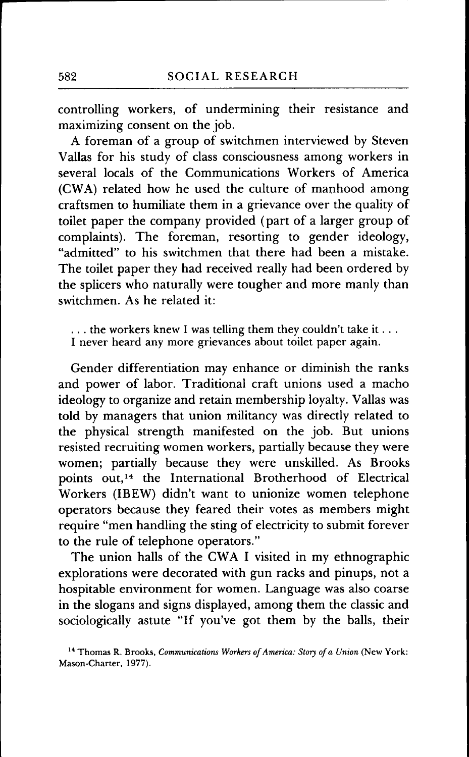controlling workers, of undermining their resistance and maximizing consent on the job.

A foreman of a group of switchmen interviewed by Steven Vallas for his study of class consciousness among workers in several locals of the Communications Workers of America (CWA) related how he used the culture of manhood among craftsmen to humiliate them in a grievance over the quality of toilet paper the company provided (part of a larger group of complaints). The foreman, resorting to gender ideology, "admitted" to his switchmen that there had been a mistake. The toilet paper they had received really had been ordered by the splicers who naturally were tougher and more manly than switchmen. As he related it:

... the workers knew I was telling them they couldn't take it... I never heard any more grievances about toilet paper again.

Gender differentiation may enhance or diminish the ranks and power of labor. Traditional craft unions used a macho ideology to organize and retain membership loyalty. Vallas was told by managers that union militancy was directly related to the physical strength manifested on the job. But unions resisted recruiting women workers, partially because they were women; partially because they were unskilled. As Brooks points out,<sup>14</sup> the International Brotherhood of Electrical Workers (IBEW) didn't want to unionize women telephone operators because they feared their votes as members might require "men handling the sting of electricity to submit forever to the rule of telephone operators."

The union halls of the CWA I visited in my ethnographic explorations were decorated with gun racks and pinups, not a hospitable environment for women. Language was also coarse in the slogans and signs displayed, among them the classic and sociologically astute "If you've got them by the balls, their

<sup>&</sup>lt;sup>14</sup> Thomas R. Brooks, *Communications Workers of America: Story of a Union* (New York: Mason-Charter, 1977).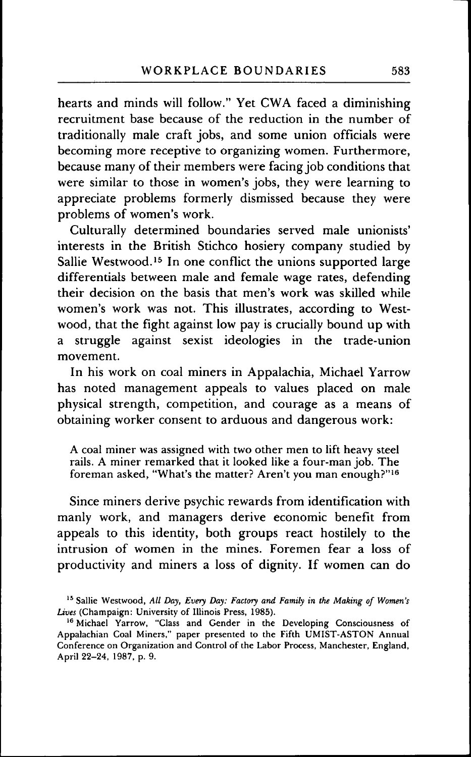hearts and minds will follow." Yet CWA faced a diminishing recruitment base because of the reduction in the number of traditionally male craft jobs, and some union officials were becoming more receptive to organizing women. Furthermore, because many of their members were facing job conditions that were similar to those in women's jobs, they were learning to appreciate problems formerly dismissed because they were problems of women's work.

Culturally determined boundaries served male unionists' interests in the British Stichco hosiery company studied by Sallie Westwood.<sup>15</sup> In one conflict the unions supported large differentials between male and female wage rates, defending their decision on the basis that men's work was skilled while women's work was not. This illustrates, according to Westwood, that the fight against low pay is crucially bound up with a struggle against sexist ideologies in the trade-union movement.

In his work on coal miners in Appalachia, Michael Yarrow has noted management appeals to values placed on male physical strength, competition, and courage as a means of obtaining worker consent to arduous and dangerous work:

A coal miner was assigned with two other men to lift heavy steel rails. A miner remarked that it looked like a four-man job. The foreman asked, "What's the matter? Aren't you man enough?"<sup>16</sup>

Since miners derive psychic rewards from identification with manly work, and managers derive economic benefit from appeals to this identity, both groups react hostilely to the intrusion of women in the mines. Foremen fear a loss of productivity and miners a loss of dignity. If women can do

<sup>&</sup>lt;sup>15</sup> Sallie Westwood, All Day, Every Day: Factory and Family in the Making of Women's *Lives* (Champaign: University of Illinois Press, 1985).

<sup>&</sup>lt;sup>16</sup> Michael Yarrow, "Class and Gender in the Developing Consciousness of Appalachian Coal Miners," paper presented to the Fifth UMIST-ASTON Annual Conference on Organization and Control of the Labor Process, Manchester, England, April 22-24, 1987, p. 9.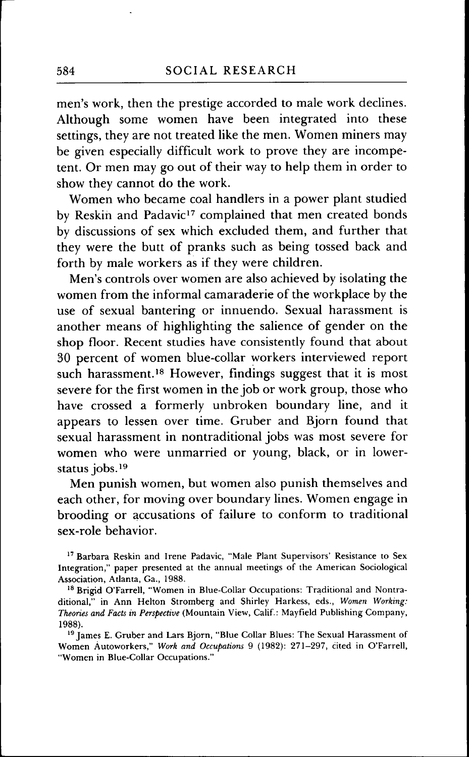men's work, then the prestige accorded to male work declines. Although some women have been integrated into these settings, they are not treated like the men. Women miners may be given especially difficult work to prove they are incompetent. Or men may go out of their way to help them in order to show they cannot do the work.

Women who became coal handlers in a power plant studied by Reskin and Padavic<sup>17</sup> complained that men created bonds by discussions of sex which excluded them, and further that they were the butt of pranks such as being tossed back and forth by male workers as if they were children.

Men's controls over women are also achieved by isolating the women from the informal camaraderie of the workplace by the use of sexual bantering or innuendo. Sexual harassment is another means of highlighting the salience of gender on the shop floor. Recent studies have consistently found that about 30 percent of women blue-collar workers interviewed report such harassment.<sup>18</sup> However, findings suggest that it is most severe for the first women in the job or work group, those who have crossed a formerly unbroken boundary line, and it appears to lessen over time. Gruber and Bjorn found that sexual harassment in nontraditional jobs was most severe for women who were unmarried or young, black, or in lowerstatus jobs.<sup>19</sup>

Men punish women, but women also punish themselves and each other, for moving over boundary lines. Women engage in brooding or accusations of failure to conform to traditional sex-role behavior.

<sup>&</sup>lt;sup>17</sup> Barbara Reskin and Irene Padavic, "Male Plant Supervisors' Resistance to Sex Integration," paper presented at the annual meetings of the American Sociological Association, Atlanta, Ga., 1988.

<sup>&</sup>lt;sup>18</sup> Brigid O'Farrell, "Women in Blue-Collar Occupations: Traditional and Nontraditional," in Ann Helton Stromberg and Shirley Harkess, eds.. *Women Working: Theories and Facts in Perspective* (Mountain View, Calif.: Mayfield Publishing Company, 1988).

<sup>&</sup>lt;sup>19</sup> James E. Gruber and Lars Bjorn, "Blue Collar Blues: The Sexual Harassment of Women Autoworkers," *Work and Occupations* 9 (1982): 271-297, cited in O'Farrell, "Women in Blue-Collar Occupations."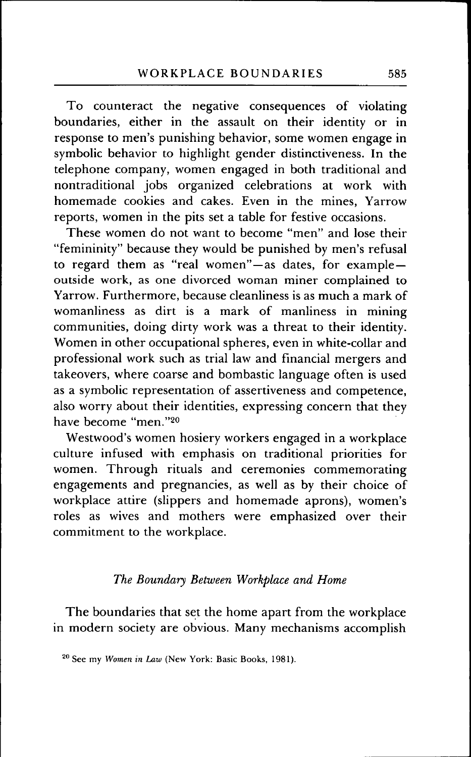To counteract the negative consequences of violating boundaries, either in the assault on their identity or in response to men's punishing behavior, some women engage in symbolic behavior to highlight gender distinctiveness. In the telephone company, women engaged in both traditional and nontraditional jobs organized celebrations at work with homemade cookies and cakes. Even in the mines. Yarrow reports, women in the pits set a table for festive occasions.

These women do not want to become "men" and lose their "femininity" because they would be punished by men's refusal to regard them as "real women"—as dates, for example outside work, as one divorced woman miner complained to Yarrow. Furthermore, because cleanliness is as much a mark of womanliness as dirt is a mark of manliness in mining communities, doing dirty work was a threat to their identity. Women in other occupational spheres, even in white-collar and professional work such as trial law and financial mergers and takeovers, where coarse and bombastic language often is used as a symbolic representation of assertiveness and competence, also worry about their identities, expressing concern that they have become "men."20

Westwood's women hosiery workers engaged in a workplace culture infused with emphasis on traditional priorities for women. Through rituals and ceremonies commemorating engagements and pregnancies, as well as by their choice of workplace attire (slippers and homemade aprons), women's roles as wives and mothers were emphasized over their commitment to the workplace.

## *The Boundary Between Workplace and Home*

The boundaries that set the home apart from the workplace in modern society are obvious. Many mechanisms accomplish

*<sup>^°</sup>* See my *Women in Law* (New York: Basic Books, 1981).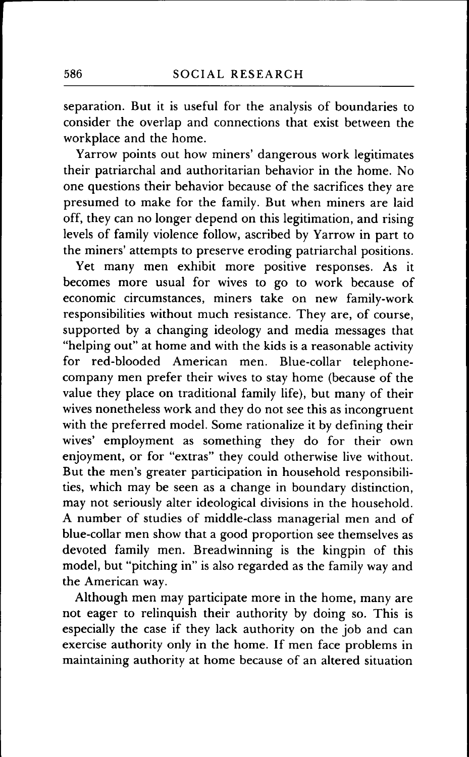separation. But it is useful for the analysis of boundaries to consider the overlap and connections that exist between the workplace and the home.

Yarrow points out how miners' dangerous work legitimates their patriarchal and authoritarian behavior in the home. No one questions their behavior because of the sacrifices they are presumed to make for the family. But when miners are laid off, they can no longer depend on this legitimation, and rising levels of family violence follow, ascribed by Yarrow in part to the miners' attempts to preserve eroding patriarchal positions.

Yet many men exhibit more positive responses. As it becomes more usual for wives to go to work because of economic circumstances, miners take on new family-work responsibilities without much resistance. They are, of course, supported by a changing ideology and media messages that "helping out" at home and with the kids is a reasonable activity for red-blooded American men. Blue-collar telephonecompany men prefer their wives to stay home (because of the value they place on traditional family life), but many of their wives nonetheless work and they do not see this as incongruent with the preferred model. Some rationalize it by defining their wives' employment as something they do for their own enjoyment, or for "extras" they could otherwise live without. But the men's greater participation in household responsibilities, which may be seen as a change in boundary distinction, may not seriously alter ideological divisions in the household. A number of studies of middle-class managerial men and of blue-collar men show that a good proportion see themselves as devoted family men. Breadwinning is the kingpin of this model, but "pitching in" is also regarded as the family way and the American way.

Although men may participate more in the home, many are not eager to relinquish their authority by doing so. This is especially the case if they lack authority on the job and can exercise authority only in the home. If men face problems in maintaining authority at home because of an altered situation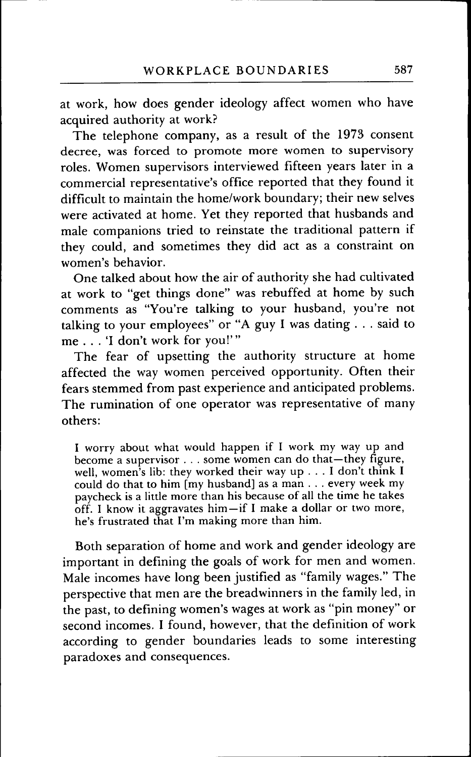at work, how does gender ideology affect women who have acquired authority at work?

The telephone company, as a result of the 1973 consent decree, was forced to promote more women to supervisory roles. Women supervisors interviewed fifteen years later in a commercial representative's office reported that they found it difficult to maintain the home/work boundary; their new selves were activated at home. Yet they reported that husbands and male companions tried to reinstate the traditional pattern if they could, and sometimes they did act as a constraint on women's behavior.

One talked about how the air of authority she had cultivated at work to "get things done" was rebuffed at home by such comments as "You're talking to your husband, you're not talking to your employees" or "A guy I was dating . . . said to me .. . 'I don't work for you!'"

The fear of upsetting the authority structure at home affected the way women perceived opportunity. Often their fears stemmed from past experience and anticipated problems. The rumination of one operator was representative of many others:

I worry about what would happen if I work my way up and become a supervisor . . . some women can do that—they figure, well, women's lib: they worked their way up . . . I don't think I could do that to him [my husband] as a man . . . every week my paycheck is a little more than his because of all the time he takes  $\overline{off}$ . I know it aggravates him—if I make a dollar or two more, he's frustrated that I'm making more than him.

Both separation of home and work and gender ideology are important in defining the goals of work for men and women. Male incomes have long been justified as "family wages." The perspective that men are the breadwinners in the family led, in the past, to defining women's wages at work as "pin money" or second incomes. I found, however, that the definition of work according to gender boundaries leads to some interesting paradoxes and consequences.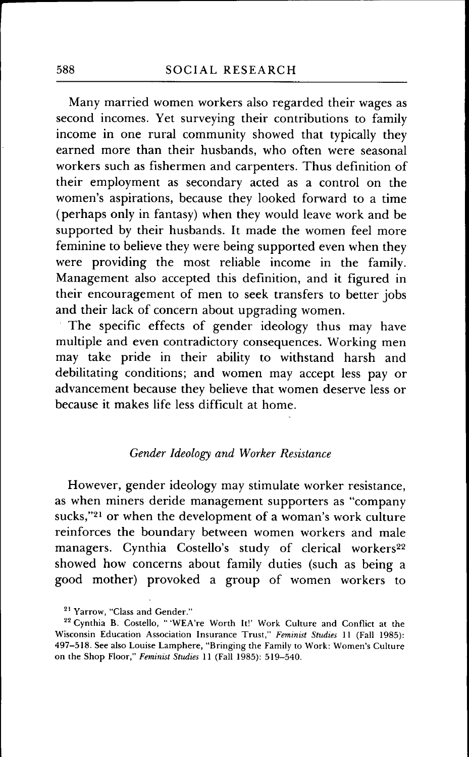Many married women workers also regarded their wages as second incomes. Yet surveying their contributions to family income in one rural community showed that typically they earned more than their husbands, who often were seasonal workers such as fishermen and carpenters. Thus definition of their employment as secondary acted as a control on the women's aspirations, because they looked forward to a time (perhaps only in fantasy) when they would leave work and be supported by their husbands. It made the women feel more feminine to believe they were being supported even when they were providing the most reliable income in the family. Management also accepted this definition, and it figured in their encouragement of men to seek transfers to better jobs and their lack of concern about upgrading women.

The specific effects of gender ideology thus may have multiple and even contradictory consequences. Working men may take pride in their ability to withstand harsh and debilitating conditions; and women may accept less pay or advancement because they believe that women deserve less or because it makes life less difficult at home.

### *Gender Ideology and Worker Resistance*

However, gender ideology may stimulate worker resistance, as when miners deride management supporters as "company sucks,"21 or when the development of a woman's work culture reinforces the boundary between women workers and male managers. Cynthia Costello's study of clerical workers<sup>22</sup> showed how concerns about family duties (such as being a good mother) provoked a group of women workers to

<sup>&</sup>lt;sup>21</sup> Yarrow, "Class and Gender."

<sup>&</sup>lt;sup>22</sup> Cynthia B. Costello, " 'WEA're Worth It!' Work Culture and Conflict at the Wisconsin Education Association Insurance Trust," *Feminist Studies* 11 (Fall 1985): 497-518. See also Louise Lamphere, "Bringing the Family to Work: Women's Culture on the Shop Floor," *Feminist Studies* 11 (Fall 1985): 519-540.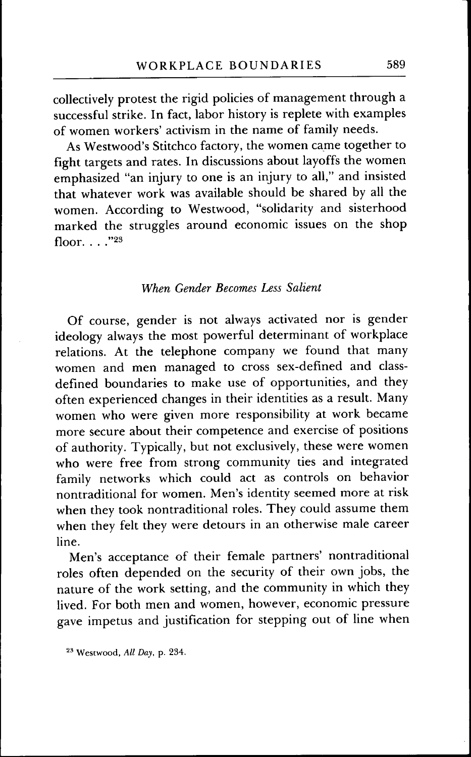collectively protest the rigid policies of management through a successful strike. In fact, labor history is replete with examples of women workers' activism in the name of family needs.

As Westwood's Stitchco factory, the women came together to fight targets and rates. In discussions about layoffs the women emphasized "an injury to one is an injury to all," and insisted that whatever work was available should be shared by all the women. According to Westwood, "solidarity and sisterhood marked the struggles around economic issues on the shop floor  $\ldots$  "23

## *When Gender Becomes Less Salient*

Of course, gender is not always activated nor is gender ideology always the most powerful determinant of workplace relations. At the telephone company we found that many women and men managed to cross sex-defined and classdefined boundaries to make use of opportunities, and they often experienced changes in their identities as a result. Many women who were given more responsibility at work became more secure about their competence and exercise of positions of authority. Typically, but not exclusively, these were women who were free from strong community ties and integrated family networks which could act as controls on behavior nontraditional for women. Men's identity seemed more at risk when they took nontraditional roles. They could assume them when they felt they were detours in an otherwise male career line.

Men's acceptance of their female partners' nontraditional roles often depended on the security of their own jobs, the nature of the work setting, and the community in which they lived. For both men and women, however, economic pressure gave impetus and justification for stepping out of line when

<sup>^&#</sup>x27; Westwood, *All Day,* p. 234.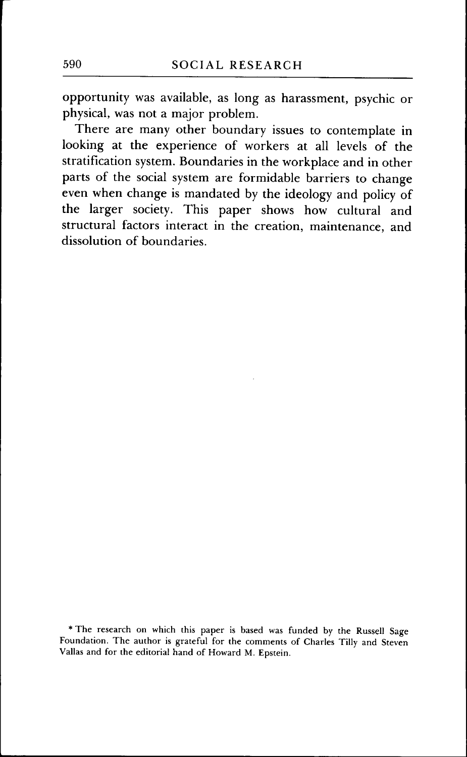opportunity was available, as long as harassment, psychic or physical, was not a major problem.

There are many other boundary issues to contemplate in looking at the experience of workers at all levels of the stratification system. Boundaries in the workplace and in other parts of the social system are formidable barriers to change even when change is mandated by the ideology and policy of the larger society. This paper shows how cultural and structural factors interact in the creation, maintenance, and dissolution of boundaries.

\* The research on which this paper is based was funded by the Russell Sage Foundation. The author is grateful for the comments of Charles Tilly and Steven Vallas and for the editorial hand of Howard M. Epstein.